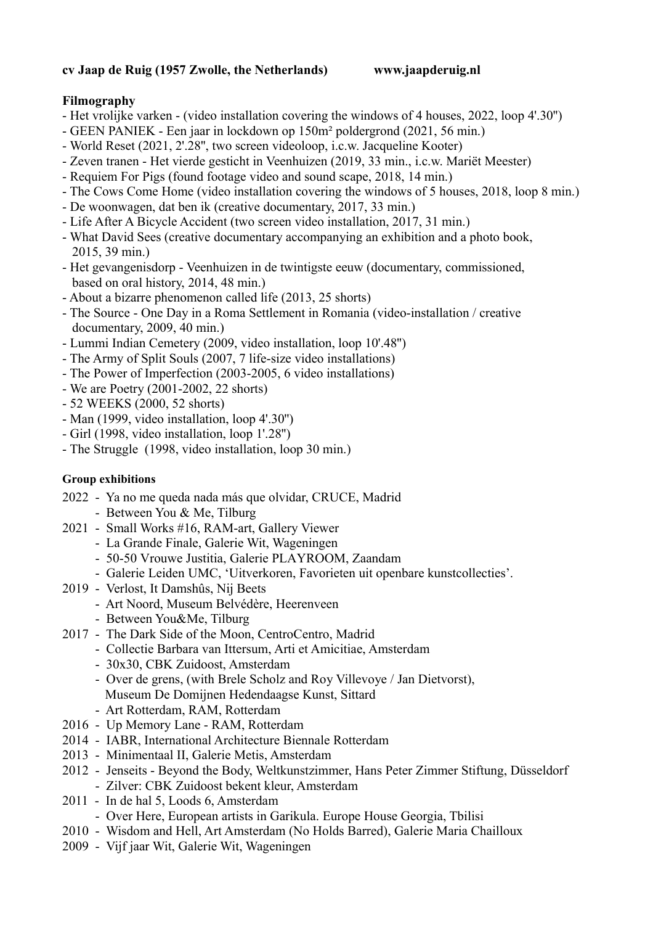### **cv Jaap de Ruig (1957 Zwolle, the Netherlands) www.jaapderuig.nl**

# **Filmography**

- Het vrolijke varken (video installation covering the windows of 4 houses, 2022, loop 4'.30'')
- GEEN PANIEK Een jaar in lockdown op 150m² poldergrond (2021, 56 min.)
- World Reset (2021, 2'.28'', two screen videoloop, i.c.w. Jacqueline Kooter)
- Zeven tranen Het vierde gesticht in Veenhuizen (2019, 33 min., i.c.w. Mariët Meester)
- Requiem For Pigs (found footage video and sound scape, 2018, 14 min.)
- The Cows Come Home (video installation covering the windows of 5 houses, 2018, loop 8 min.)
- De woonwagen, dat ben ik (creative documentary, 2017, 33 min.)
- Life After A Bicycle Accident (two screen video installation, 2017, 31 min.)
- What David Sees (creative documentary accompanying an exhibition and a photo book, 2015, 39 min.)
- Het gevangenisdorp Veenhuizen in de twintigste eeuw (documentary, commissioned, based on oral history, 2014, 48 min.)
- About a bizarre phenomenon called life (2013, 25 shorts)
- The Source One Day in a Roma Settlement in Romania (video-installation / creative documentary, 2009, 40 min.)
- Lummi Indian Cemetery (2009, video installation, loop 10'.48'')
- The Army of Split Souls (2007, 7 life-size video installations)
- The Power of Imperfection (2003-2005, 6 video installations)
- We are Poetry (2001-2002, 22 shorts)
- 52 WEEKS (2000, 52 shorts)
- Man (1999, video installation, loop 4'.30'')
- Girl (1998, video installation, loop 1'.28'')
- The Struggle (1998, video installation, loop 30 min.)

# **Group exhibitions**

- 2022 Ya no me queda nada más que olvidar, CRUCE, Madrid
	- Between You & Me, Tilburg
- 2021 Small Works #16, RAM-art, Gallery Viewer
	- La Grande Finale, Galerie Wit, Wageningen
	- 50-50 Vrouwe Justitia, Galerie PLAYROOM, Zaandam
	- Galerie Leiden UMC, 'Uitverkoren, Favorieten uit openbare kunstcollecties'.
- 2019 Verlost, It Damshûs, Nij Beets
	- Art Noord, Museum Belvédère, Heerenveen
	- Between You&Me, Tilburg
- 2017 The Dark Side of the Moon, CentroCentro, Madrid
	- Collectie Barbara van Ittersum, Arti et Amicitiae, Amsterdam
		- 30x30, CBK Zuidoost, Amsterdam
		- Over de grens, (with Brele Scholz and Roy Villevoye / Jan Dietvorst),
			- Museum De Domijnen Hedendaagse Kunst, Sittard
	- Art Rotterdam, RAM, Rotterdam
- 2016 Up Memory Lane RAM, Rotterdam
- 2014 IABR, International Architecture Biennale Rotterdam
- 2013 Minimentaal II, Galerie Metis, Amsterdam
- 2012 Jenseits Beyond the Body, Weltkunstzimmer, Hans Peter Zimmer Stiftung, Düsseldorf - Zilver: CBK Zuidoost bekent kleur, Amsterdam
- 2011 In de hal 5, Loods 6, Amsterdam
	- Over Here, European artists in Garikula. Europe House Georgia, Tbilisi
- 2010 Wisdom and Hell, Art Amsterdam (No Holds Barred), Galerie Maria Chailloux
- 2009 Vijf jaar Wit, Galerie Wit, Wageningen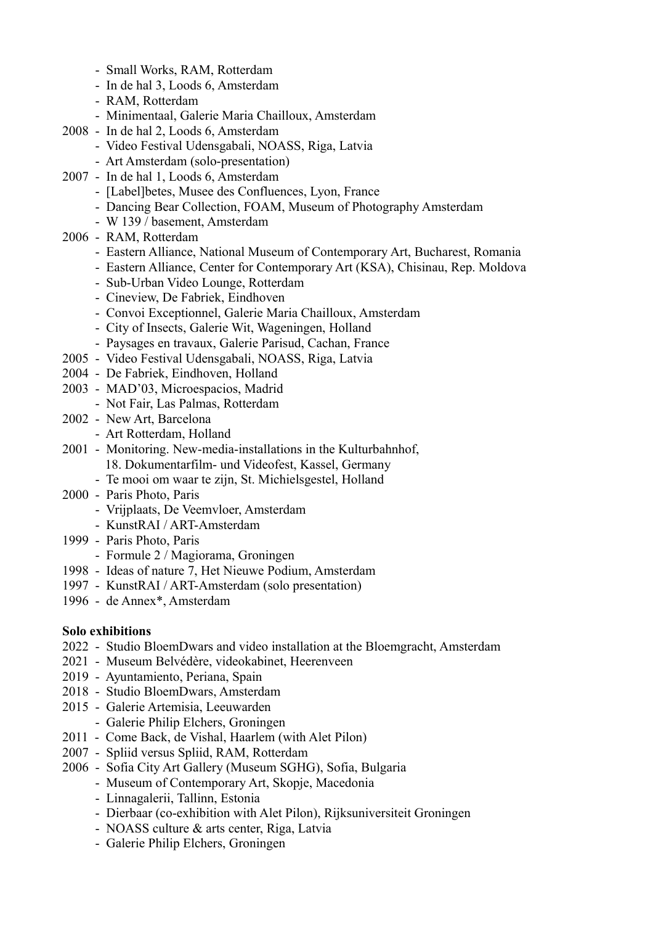- Small Works, RAM, Rotterdam
- In de hal 3, Loods 6, Amsterdam
- RAM, Rotterdam
- Minimentaal, Galerie Maria Chailloux, Amsterdam
- 2008 In de hal 2, Loods 6, Amsterdam
	- Video Festival Udensgabali, NOASS, Riga, Latvia
	- Art Amsterdam (solo-presentation)
- 2007 In de hal 1, Loods 6, Amsterdam
	- [Label]betes, Musee des Confluences, Lyon, France
	- Dancing Bear Collection, FOAM, Museum of Photography Amsterdam
	- W 139 / basement, Amsterdam
- 2006 RAM, Rotterdam
	- Eastern Alliance, National Museum of Contemporary Art, Bucharest, Romania
	- Eastern Alliance, Center for Contemporary Art (KSA), Chisinau, Rep. Moldova
	- Sub-Urban Video Lounge, Rotterdam
	- Cineview, De Fabriek, Eindhoven
	- Convoi Exceptionnel, Galerie Maria Chailloux, Amsterdam
	- City of Insects, Galerie Wit, Wageningen, Holland
	- Paysages en travaux, Galerie Parisud, Cachan, France
- 2005 Video Festival Udensgabali, NOASS, Riga, Latvia
- 2004 De Fabriek, Eindhoven, Holland
- 2003 MAD'03, Microespacios, Madrid
- Not Fair, Las Palmas, Rotterdam
- 2002 New Art, Barcelona
	- Art Rotterdam, Holland
- 2001 Monitoring. New-media-installations in the Kulturbahnhof, 18. Dokumentarfilm- und Videofest, Kassel, Germany
	- Te mooi om waar te zijn, St. Michielsgestel, Holland
- 2000 Paris Photo, Paris
	- Vrijplaats, De Veemvloer, Amsterdam
	- KunstRAI / ART-Amsterdam
- 1999 Paris Photo, Paris
	- Formule 2 / Magiorama, Groningen
- 1998 Ideas of nature 7, Het Nieuwe Podium, Amsterdam
- 1997 KunstRAI / ART-Amsterdam (solo presentation)
- 1996 de Annex\*, Amsterdam

#### **Solo exhibitions**

- 2022 Studio BloemDwars and video installation at the Bloemgracht, Amsterdam
- 2021 Museum Belvédère, videokabinet, Heerenveen
- 2019 Ayuntamiento, Periana, Spain
- 2018 Studio BloemDwars, Amsterdam
- 2015 Galerie Artemisia, Leeuwarden
	- Galerie Philip Elchers, Groningen
- 2011 Come Back, de Vishal, Haarlem (with Alet Pilon)
- 2007 Spliid versus Spliid, RAM, Rotterdam
- 2006 Sofia City Art Gallery (Museum SGHG), Sofia, Bulgaria
	- Museum of Contemporary Art, Skopje, Macedonia
	- Linnagalerii, Tallinn, Estonia
	- Dierbaar (co-exhibition with Alet Pilon), Rijksuniversiteit Groningen
	- NOASS culture & arts center, Riga, Latvia
	- Galerie Philip Elchers, Groningen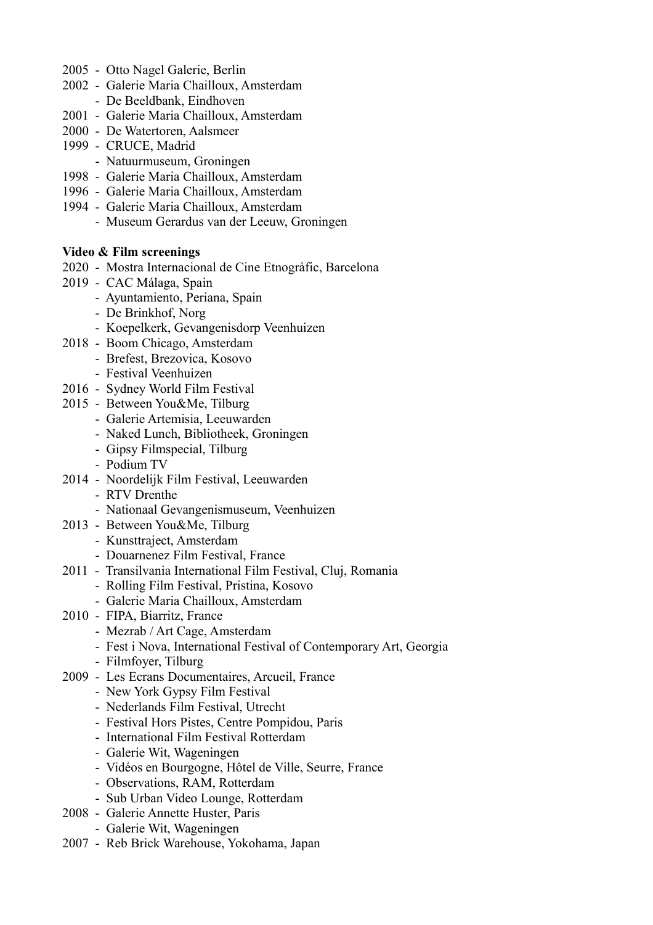- 2005 Otto Nagel Galerie, Berlin
- 2002 Galerie Maria Chailloux, Amsterdam
	- De Beeldbank, Eindhoven
- 2001 Galerie Maria Chailloux, Amsterdam
- 2000 De Watertoren, Aalsmeer
- 1999 CRUCE, Madrid
	- Natuurmuseum, Groningen
- 1998 Galerie Maria Chailloux, Amsterdam
- 1996 Galerie Maria Chailloux, Amsterdam
- 1994 Galerie Maria Chailloux, Amsterdam
	- Museum Gerardus van der Leeuw, Groningen

### **Video & Film screenings**

- 2020 Mostra Internacional de Cine Etnogràfic, Barcelona
- 2019 CAC Málaga, Spain
	- Ayuntamiento, Periana, Spain
	- De Brinkhof, Norg
	- Koepelkerk, Gevangenisdorp Veenhuizen
- 2018 Boom Chicago, Amsterdam
	- Brefest, Brezovica, Kosovo
		- Festival Veenhuizen
- 2016 Sydney World Film Festival
- 2015 Between You&Me, Tilburg
	- Galerie Artemisia, Leeuwarden
	- Naked Lunch, Bibliotheek, Groningen
	- Gipsy Filmspecial, Tilburg
	- Podium TV
- 2014 Noordelijk Film Festival, Leeuwarden
	- RTV Drenthe
	- Nationaal Gevangenismuseum, Veenhuizen
- 2013 Between You&Me, Tilburg
	- Kunsttraject, Amsterdam
	- Douarnenez Film Festival, France
- 2011 Transilvania International Film Festival, Cluj, Romania
	- Rolling Film Festival, Pristina, Kosovo
	- Galerie Maria Chailloux, Amsterdam
- 2010 FIPA, Biarritz, France
	- Mezrab / Art Cage, Amsterdam
	- Fest i Nova, International Festival of Contemporary Art, Georgia
	- Filmfoyer, Tilburg
- 2009 Les Ecrans Documentaires, Arcueil, France
	- New York Gypsy Film Festival
	- Nederlands Film Festival, Utrecht
	- Festival Hors Pistes, Centre Pompidou, Paris
	- International Film Festival Rotterdam
	- Galerie Wit, Wageningen
	- Vidéos en Bourgogne, Hôtel de Ville, Seurre, France
	- Observations, RAM, Rotterdam
	- Sub Urban Video Lounge, Rotterdam
- 2008 Galerie Annette Huster, Paris
	- Galerie Wit, Wageningen
- 2007 Reb Brick Warehouse, Yokohama, Japan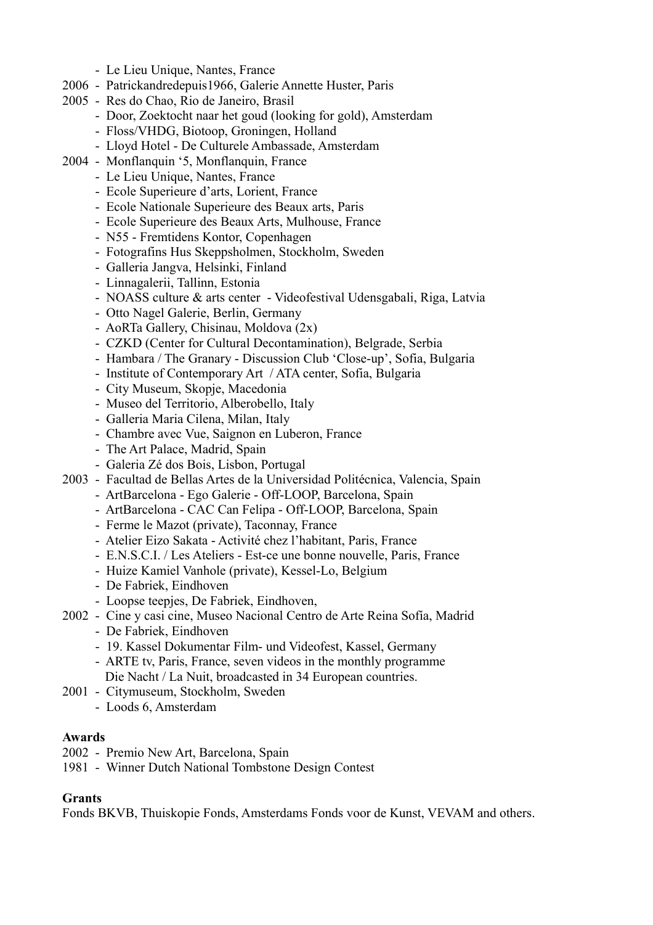- Le Lieu Unique, Nantes, France
- 2006 Patrickandredepuis1966, Galerie Annette Huster, Paris
- 2005 Res do Chao, Rio de Janeiro, Brasil
	- Door, Zoektocht naar het goud (looking for gold), Amsterdam
	- Floss/VHDG, Biotoop, Groningen, Holland
	- Lloyd Hotel De Culturele Ambassade, Amsterdam
- 2004 Monflanquin '5, Monflanquin, France
	- Le Lieu Unique, Nantes, France
	- Ecole Superieure d'arts, Lorient, France
	- Ecole Nationale Superieure des Beaux arts, Paris
	- Ecole Superieure des Beaux Arts, Mulhouse, France
	- N55 Fremtidens Kontor, Copenhagen
	- Fotografins Hus Skeppsholmen, Stockholm, Sweden
	- Galleria Jangva, Helsinki, Finland
	- Linnagalerii, Tallinn, Estonia
	- NOASS culture & arts center Videofestival Udensgabali, Riga, Latvia
	- Otto Nagel Galerie, Berlin, Germany
	- AoRTa Gallery, Chisinau, Moldova (2x)
	- CZKD (Center for Cultural Decontamination), Belgrade, Serbia
	- Hambara / The Granary Discussion Club 'Close-up', Sofia, Bulgaria
	- Institute of Contemporary Art / ATA center, Sofia, Bulgaria
	- City Museum, Skopje, Macedonia
	- Museo del Territorio, Alberobello, Italy
	- Galleria Maria Cilena, Milan, Italy
	- Chambre avec Vue, Saignon en Luberon, France
	- The Art Palace, Madrid, Spain
	- Galeria Zé dos Bois, Lisbon, Portugal
- 2003 Facultad de Bellas Artes de la Universidad Politécnica, Valencia, Spain
	- ArtBarcelona Ego Galerie Off-LOOP, Barcelona, Spain
	- ArtBarcelona CAC Can Felipa Off-LOOP, Barcelona, Spain
	- Ferme le Mazot (private), Taconnay, France
	- Atelier Eizo Sakata Activité chez l'habitant, Paris, France
	- E.N.S.C.I. / Les Ateliers Est-ce une bonne nouvelle, Paris, France
	- Huize Kamiel Vanhole (private), Kessel-Lo, Belgium
	- De Fabriek, Eindhoven
	- Loopse teepjes, De Fabriek, Eindhoven,
- 2002 Cine y casi cine, Museo Nacional Centro de Arte Reina Sofía, Madrid
	- De Fabriek, Eindhoven
	- 19. Kassel Dokumentar Film- und Videofest, Kassel, Germany
	- ARTE tv, Paris, France, seven videos in the monthly programme Die Nacht / La Nuit, broadcasted in 34 European countries.
- 2001 Citymuseum, Stockholm, Sweden
	- Loods 6, Amsterdam

#### **Awards**

- 2002 Premio New Art, Barcelona, Spain
- 1981 Winner Dutch National Tombstone Design Contest

# **Grants**

Fonds BKVB, Thuiskopie Fonds, Amsterdams Fonds voor de Kunst, VEVAM and others.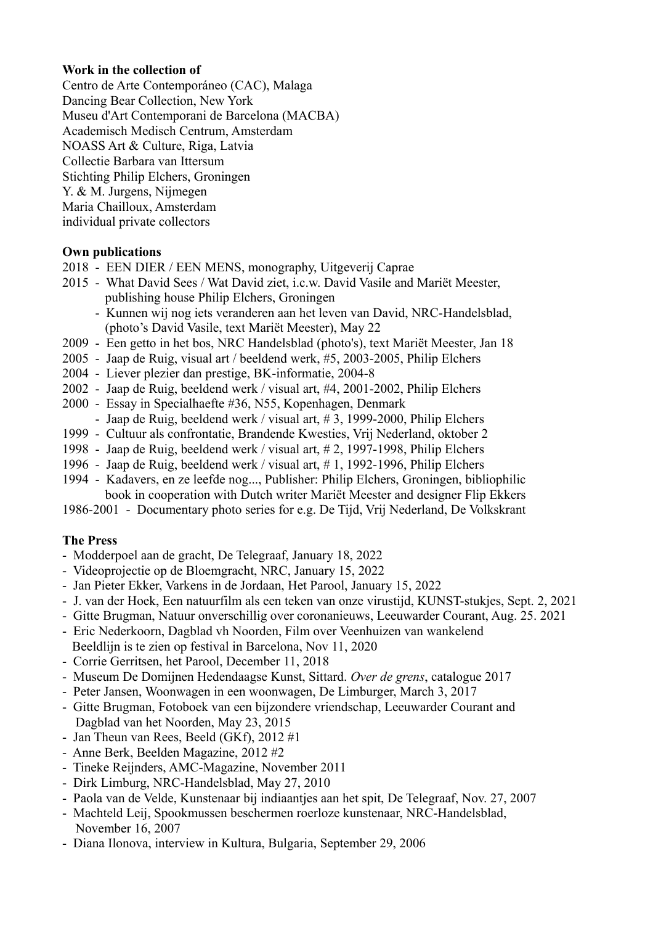#### **Work in the collection of**

Centro de Arte Contemporáneo (CAC), Malaga Dancing Bear Collection, New York Museu d'Art Contemporani de Barcelona (MACBA) Academisch Medisch Centrum, Amsterdam NOASS Art & Culture, Riga, Latvia Collectie Barbara van Ittersum Stichting Philip Elchers, Groningen Y. & M. Jurgens, Nijmegen Maria Chailloux, Amsterdam individual private collectors

#### **Own publications**

- 2018 EEN DIER / EEN MENS, monography, Uitgeverij Caprae
- 2015 What David Sees / Wat David ziet, i.c.w. David Vasile and Mariët Meester, publishing house Philip Elchers, Groningen
	- Kunnen wij nog iets veranderen aan het leven van David, NRC-Handelsblad, (photo's David Vasile, text Mariët Meester), May 22
- 2009 Een getto in het bos, NRC Handelsblad (photo's), text Mariët Meester, Jan 18
- 2005 Jaap de Ruig, visual art / beeldend werk, #5, 2003-2005, Philip Elchers
- 2004 Liever plezier dan prestige, BK-informatie, 2004-8
- 2002 Jaap de Ruig, beeldend werk / visual art, #4, 2001-2002, Philip Elchers
- 2000 Essay in Specialhaefte #36, N55, Kopenhagen, Denmark
- Jaap de Ruig, beeldend werk / visual art, #3, 1999-2000, Philip Elchers
- 1999 Cultuur als confrontatie, Brandende Kwesties, Vrij Nederland, oktober 2
- 1998 Jaap de Ruig, beeldend werk / visual art, # 2, 1997-1998, Philip Elchers
- 1996 Jaap de Ruig, beeldend werk / visual art, # 1, 1992-1996, Philip Elchers
- 1994 Kadavers, en ze leefde nog..., Publisher: Philip Elchers, Groningen, bibliophilic book in cooperation with Dutch writer Mariët Meester and designer Flip Ekkers
- 1986-2001 Documentary photo series for e.g. De Tijd, Vrij Nederland, De Volkskrant

# **The Press**

- Modderpoel aan de gracht, De Telegraaf, January 18, 2022
- Videoprojectie op de Bloemgracht, NRC, January 15, 2022
- Jan Pieter Ekker, Varkens in de Jordaan, Het Parool, January 15, 2022
- J. van der Hoek, Een natuurfilm als een teken van onze virustijd, KUNST-stukjes, Sept. 2, 2021
- Gitte Brugman, Natuur onverschillig over coronanieuws, Leeuwarder Courant, Aug. 25. 2021
- Eric Nederkoorn, Dagblad vh Noorden, Film over Veenhuizen van wankelend Beeldlijn is te zien op festival in Barcelona, Nov 11, 2020
- Corrie Gerritsen, het Parool, December 11, 2018
- Museum De Domijnen Hedendaagse Kunst, Sittard. *Over de grens*, catalogue 2017
- Peter Jansen, Woonwagen in een woonwagen, De Limburger, March 3, 2017
- Gitte Brugman, Fotoboek van een bijzondere vriendschap, Leeuwarder Courant and Dagblad van het Noorden, May 23, 2015
- Jan Theun van Rees, Beeld (GKf), 2012 #1
- Anne Berk, Beelden Magazine, 2012 #2
- Tineke Reijnders, AMC-Magazine, November 2011
- Dirk Limburg, NRC-Handelsblad, May 27, 2010
- Paola van de Velde, Kunstenaar bij indiaantjes aan het spit, De Telegraaf, Nov. 27, 2007
- Machteld Leij, Spookmussen beschermen roerloze kunstenaar, NRC-Handelsblad, November 16, 2007
- Diana Ilonova, interview in Kultura, Bulgaria, September 29, 2006